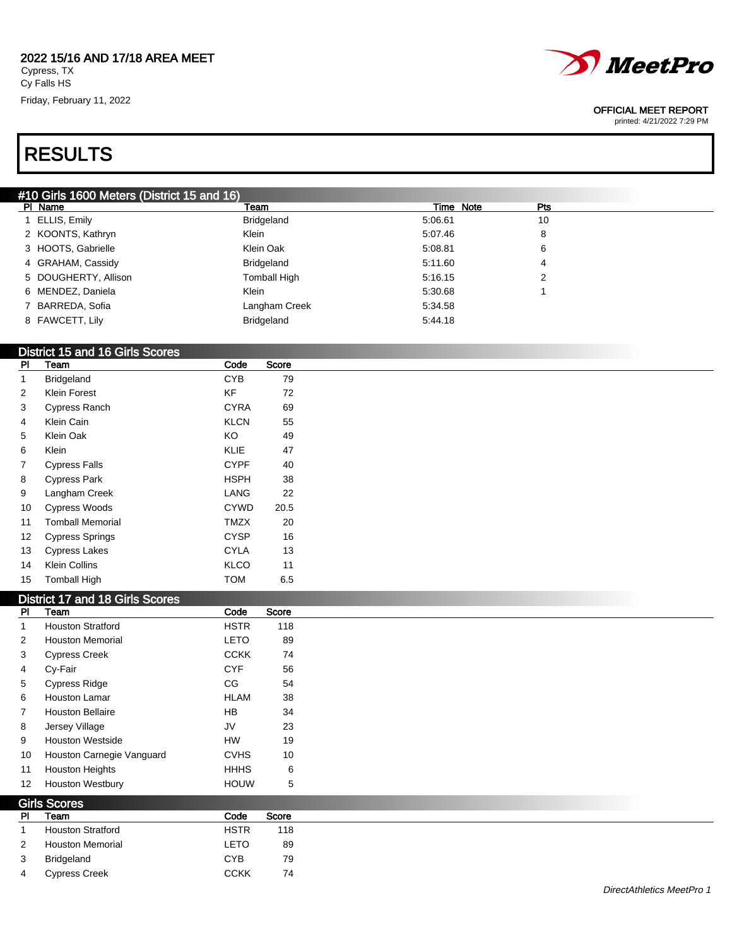#### 2022 15/16 AND 17/18 AREA MEET Cypress, TX Cy Falls HS

Friday, February 11, 2022



#### OFFICIAL MEET REPORT

printed: 4/21/2022 7:29 PM

# RESULTS

## #10 Girls 1600 Meters (District 15 and 16)

| PI Name              | Team                | Time Note | Pts |
|----------------------|---------------------|-----------|-----|
| 1 ELLIS, Emily       | Bridgeland          | 5:06.61   | 10  |
| 2 KOONTS, Kathryn    | Klein               | 5:07.46   | 8   |
| 3 HOOTS, Gabrielle   | Klein Oak           | 5:08.81   | 6   |
| 4 GRAHAM, Cassidy    | Bridgeland          | 5:11.60   | 4   |
| 5 DOUGHERTY, Allison | <b>Tomball High</b> | 5:16.15   | 2   |
| 6 MENDEZ, Daniela    | Klein               | 5:30.68   |     |
| 7 BARREDA, Sofia     | Langham Creek       | 5:34.58   |     |
| 8 FAWCETT, Lily      | Bridgeland          | 5:44.18   |     |
|                      |                     |           |     |

### District 15 and 16 Girls Scores

| PI | Team                    | Code        | Score |
|----|-------------------------|-------------|-------|
| 1  | <b>Bridgeland</b>       | <b>CYB</b>  | 79    |
| 2  | <b>Klein Forest</b>     | KF          | 72    |
| 3  | Cypress Ranch           | <b>CYRA</b> | 69    |
| 4  | Klein Cain              | <b>KLCN</b> | 55    |
| 5  | Klein Oak               | KO          | 49    |
| 6  | Klein                   | <b>KLIE</b> | 47    |
| 7  | <b>Cypress Falls</b>    | <b>CYPF</b> | 40    |
| 8  | <b>Cypress Park</b>     | <b>HSPH</b> | 38    |
| 9  | Langham Creek           | LANG        | 22    |
| 10 | <b>Cypress Woods</b>    | <b>CYWD</b> | 20.5  |
| 11 | <b>Tomball Memorial</b> | <b>TMZX</b> | 20    |
| 12 | Cypress Springs         | <b>CYSP</b> | 16    |
| 13 | <b>Cypress Lakes</b>    | <b>CYLA</b> | 13    |
| 14 | Klein Collins           | <b>KLCO</b> | 11    |
| 15 | <b>Tomball High</b>     | <b>TOM</b>  | 6.5   |

### District 17 and 18 Girls Scores

 $G = G$ 

| <b>PI</b>      | Team                      | Code        | Score |
|----------------|---------------------------|-------------|-------|
| 1              | <b>Houston Stratford</b>  | <b>HSTR</b> | 118   |
| 2              | <b>Houston Memorial</b>   | <b>LETO</b> | 89    |
| 3              | <b>Cypress Creek</b>      | <b>CCKK</b> | 74    |
| $\overline{4}$ | Cy-Fair                   | <b>CYF</b>  | 56    |
| $5^{\circ}$    | <b>Cypress Ridge</b>      | CG          | 54    |
| 6              | <b>Houston Lamar</b>      | <b>HLAM</b> | 38    |
| $\overline{7}$ | <b>Houston Bellaire</b>   | <b>HB</b>   | 34    |
| 8              | Jersey Village            | JV          | 23    |
| 9              | <b>Houston Westside</b>   | <b>HW</b>   | 19    |
| 10             | Houston Carnegie Vanguard | <b>CVHS</b> | 10    |
| 11             | <b>Houston Heights</b>    | <b>HHHS</b> | 6     |
| 12             | <b>Houston Westbury</b>   | <b>HOUW</b> | 5     |

| <b>GIIS SCUIPS</b> |                          |             |       |
|--------------------|--------------------------|-------------|-------|
| PI                 | Team                     | Code        | Score |
|                    | <b>Houston Stratford</b> | <b>HSTR</b> | 118   |
| 2                  | <b>Houston Memorial</b>  | LETO        | 89    |
| 3                  | Bridgeland               | <b>CYB</b>  | 79    |
| 4                  | <b>Cypress Creek</b>     | <b>CCKK</b> | 74    |